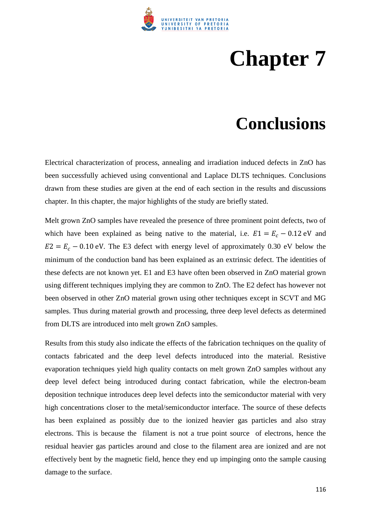

## **Chapter 7**

### **Conclusions**

Electrical characterization of process, annealing and irradiation induced defects in ZnO has been successfully achieved using conventional and Laplace DLTS techniques. Conclusions drawn from these studies are given at the end of each section in the results and discussions chapter. In this chapter, the major highlights of the study are briefly stated.

Melt grown ZnO samples have revealed the presence of three prominent point defects, two of which have been explained as being native to the material, i.e.  $E1 = E<sub>c</sub> - 0.12$  eV and  $E2 = E_c - 0.10$  eV. The E3 defect with energy level of approximately 0.30 eV below the minimum of the conduction band has been explained as an extrinsic defect. The identities of these defects are not known yet. E1 and E3 have often been observed in ZnO material grown using different techniques implying they are common to ZnO. The E2 defect has however not been observed in other ZnO material grown using other techniques except in SCVT and MG samples. Thus during material growth and processing, three deep level defects as determined from DLTS are introduced into melt grown ZnO samples.

Results from this study also indicate the effects of the fabrication techniques on the quality of contacts fabricated and the deep level defects introduced into the material. Resistive evaporation techniques yield high quality contacts on melt grown ZnO samples without any deep level defect being introduced during contact fabrication, while the electron-beam deposition technique introduces deep level defects into the semiconductor material with very high concentrations closer to the metal/semiconductor interface. The source of these defects has been explained as possibly due to the ionized heavier gas particles and also stray electrons. This is because the filament is not a true point source of electrons, hence the residual heavier gas particles around and close to the filament area are ionized and are not effectively bent by the magnetic field, hence they end up impinging onto the sample causing damage to the surface.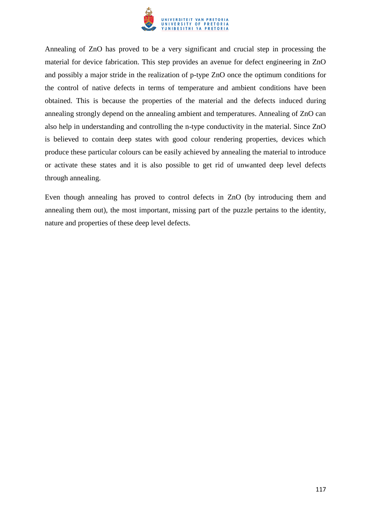

Annealing of ZnO has proved to be a very significant and crucial step in processing the material for device fabrication. This step provides an avenue for defect engineering in ZnO and possibly a major stride in the realization of p-type ZnO once the optimum conditions for the control of native defects in terms of temperature and ambient conditions have been obtained. This is because the properties of the material and the defects induced during annealing strongly depend on the annealing ambient and temperatures. Annealing of ZnO can also help in understanding and controlling the n-type conductivity in the material. Since ZnO is believed to contain deep states with good colour rendering properties, devices which produce these particular colours can be easily achieved by annealing the material to introduce or activate these states and it is also possible to get rid of unwanted deep level defects through annealing.

Even though annealing has proved to control defects in ZnO (by introducing them and annealing them out), the most important, missing part of the puzzle pertains to the identity, nature and properties of these deep level defects.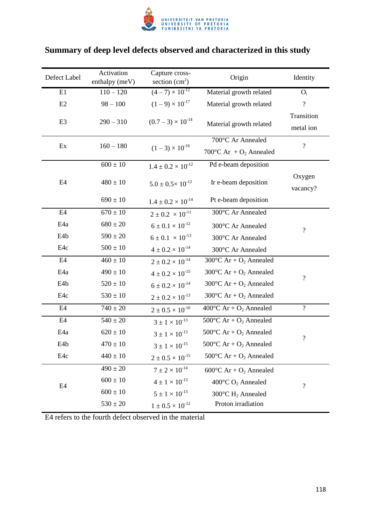

#### **Summary of deep level defects observed and characterized in this study**

| Defect Label    | Activation<br>enthalpy (meV) | Capture cross-<br>section $(cm2)$ | Origin                                           | Identity                   |
|-----------------|------------------------------|-----------------------------------|--------------------------------------------------|----------------------------|
| E1              | $110 - 120$                  | $\sqrt{(4-7)} \times 10^{-12}$    | Material growth related                          | $O_i$                      |
| E2              | $98 - 100$                   | $(1-9) \times 10^{-17}$           | Material growth related                          | $\overline{\mathcal{C}}$   |
| E <sub>3</sub>  | $290 - 310$                  | $(0.7-3) \times 10^{-14}$         | Material growth related                          | Transition<br>metal ion    |
| Ex              | $160 - 180$                  | $(1-3) \times 10^{-16}$           | 700°C Ar Annealed                                | $\overline{\mathcal{L}}$   |
|                 |                              |                                   | 700°C Ar + $O_2$ Annealed                        |                            |
| E <sub>4</sub>  | $600 \pm 10$                 | $1.4 \pm 0.2 \times 10^{-12}$     | Pd e-beam deposition                             |                            |
|                 | $480 \pm 10$                 | $5.0 \pm 0.5 \times 10^{-12}$     | Ir e-beam deposition                             | Oxygen<br>vacancy?         |
|                 | $690 \pm 10$                 | $1.4 \pm 0.2 \times 10^{-14}$     | Pt e-beam deposition                             |                            |
| E <sub>4</sub>  | $670 \pm 10$                 | $2 \pm 0.2 \times 10^{-11}$       | 300°C Ar Annealed                                |                            |
| E <sub>4a</sub> | $680 \pm 20$                 | $6 \pm 0.1 \times 10^{-12}$       | 300°C Ar Annealed                                | $\overline{\mathcal{C}}$   |
| E4b             | $590 \pm 20$                 | $6 \pm 0.1 \times 10^{13}$        | 300°C Ar Annealed                                |                            |
| E4c             | $500 \pm 10$                 | $4 \pm 0.2 \times 10^{-14}$       | 300°C Ar Annealed                                |                            |
| E4              | $460 \pm 10$                 | $2 \pm 0.2 \times 10^{-14}$       | 300°C Ar + $O_2$ Annealed                        |                            |
| E4a             | $490 \pm 10$                 | $4 \pm 0.2 \times 10^{-15}$       | 300°C Ar + $O_2$ Annealed                        | $\overline{\mathcal{C}}$   |
| E4b             | $520 \pm 10$                 | $6 \pm 0.2 \times 10^{-14}$       | 300°C Ar + $O_2$ Annealed                        |                            |
| E4c             | $530 \pm 10$                 | $2\pm0.2\times10^{\text{-}13}$    | 300°C Ar + $O_2$ Annealed                        |                            |
| E <sub>4</sub>  | $740 \pm 20$                 | $2\pm0.5\times10^{\text{-}10}$    | 400°C Ar + $O_2$ Annealed                        | $\overline{\mathcal{L}}$   |
| E4              | $540 \pm 20$                 | $3 \pm 1 \times 10^{-13}$         | 500°C Ar + $O_2$ Annealed                        |                            |
| E4a             | $620 \pm 10$                 | $3\pm1\times10^{\text{-}13}$      | 500°C Ar + $O_2$ Annealed                        | $\boldsymbol{\mathcal{C}}$ |
| E4b             | $470 \pm 10$                 | $3\pm1\times10^{\text{-}15}$      | 500°C Ar + $O_2$ Annealed                        |                            |
| E4c             | $440 \pm 10$                 | $2 \pm 0.5 \times 10^{-15}$       | 500 °C Ar + $O_2$ Annealed                       |                            |
| E <sub>4</sub>  | $490 \pm 20$                 | $7 \pm 2 \times 10^{-14}$         | 600°C Ar + $O_2$ Annealed                        | ?                          |
|                 | $600 \pm 10$                 | $4 \pm 1 \times 10^{-13}$         | 400 $\rm{^{\circ}C}$ O <sub>2</sub> Annealed     |                            |
|                 | $600 \pm 10$                 | $5\pm1\times10^{\text{-}13}$      | 300 $\mathrm{^{\circ}C}$ H <sub>2</sub> Annealed |                            |
|                 | $530 \pm 20$                 | $1\pm0.5\times10^{\text{-}12}$    | Proton irradiation                               |                            |

E4 refers to the fourth defect observed in the material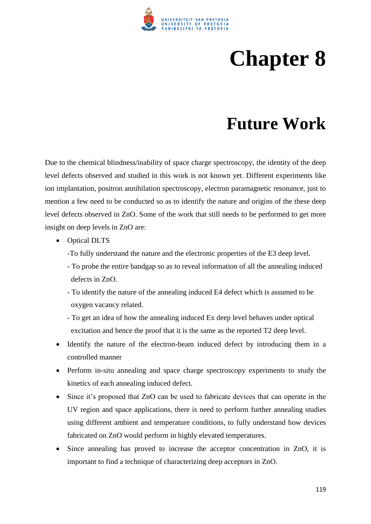

# **Chapter 8**

### **Future Work**

Due to the chemical blindness/inability of space charge spectroscopy, the identity of the deep level defects observed and studied in this work is not known yet. Different experiments like ion implantation, positron annihilation spectroscopy, electron paramagnetic resonance, just to mention a few need to be conducted so as to identify the nature and origins of the these deep level defects observed in ZnO. Some of the work that still needs to be performed to get more insight on deep levels in ZnO are:

- Optical DLTS
	- -To fully understand the nature and the electronic properties of the E3 deep level.
	- To probe the entire bandgap so as to reveal information of all the annealing induced defects in ZnO.
	- To identify the nature of the annealing induced E4 defect which is assumed to be oxygen vacancy related.
	- To get an idea of how the annealing induced Ex deep level behaves under optical excitation and hence the proof that it is the same as the reported T2 deep level.
- Identify the nature of the electron-beam induced defect by introducing them in a controlled manner
- Perform in-situ annealing and space charge spectroscopy experiments to study the kinetics of each annealing induced defect.
- Since it's proposed that ZnO can be used to fabricate devices that can operate in the UV region and space applications, there is need to perform further annealing studies using different ambient and temperature conditions, to fully understand how devices fabricated on ZnO would perform in highly elevated temperatures.
- Since annealing has proved to increase the acceptor concentration in ZnO, it is important to find a technique of characterizing deep acceptors in ZnO.